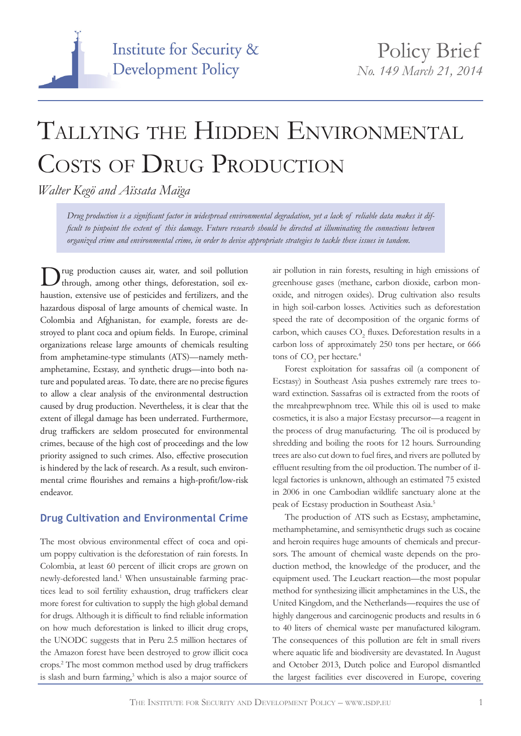

# Tallying the Hidden Environmental COSTS OF DRUG PRODUCTION

*Walter Kegö and Aïssata Maïga*

*Drug production is a significant factor in widespread environmental degradation, yet a lack of reliable data makes it difficult to pinpoint the extent of this damage. Future research should be directed at illuminating the connections between organized crime and environmental crime, in order to devise appropriate strategies to tackle these issues in tandem.*

Drug production causes air, water, and soil pollution through, among other things, deforestation, soil exhaustion, extensive use of pesticides and fertilizers, and the hazardous disposal of large amounts of chemical waste. In Colombia and Afghanistan, for example, forests are destroyed to plant coca and opium fields. In Europe, criminal organizations release large amounts of chemicals resulting from amphetamine-type stimulants (ATS)—namely methamphetamine, Ecstasy, and synthetic drugs—into both nature and populated areas. To date, there are no precise figures to allow a clear analysis of the environmental destruction caused by drug production. Nevertheless, it is clear that the extent of illegal damage has been underrated. Furthermore, drug traffickers are seldom prosecuted for environmental crimes, because of the high cost of proceedings and the low priority assigned to such crimes. Also, effective prosecution is hindered by the lack of research. As a result, such environmental crime flourishes and remains a high-profit/low-risk endeavor.

## **Drug Cultivation and Environmental Crime**

The most obvious environmental effect of coca and opium poppy cultivation is the deforestation of rain forests. In Colombia, at least 60 percent of illicit crops are grown on newly-deforested land.<sup>1</sup> When unsustainable farming practices lead to soil fertility exhaustion, drug traffickers clear more forest for cultivation to supply the high global demand for drugs. Although it is difficult to find reliable information on how much deforestation is linked to illicit drug crops, the UNODC suggests that in Peru 2.5 million hectares of the Amazon forest have been destroyed to grow illicit coca crops.2 The most common method used by drug traffickers is slash and burn farming,<sup>3</sup> which is also a major source of

air pollution in rain forests, resulting in high emissions of greenhouse gases (methane, carbon dioxide, carbon monoxide, and nitrogen oxides). Drug cultivation also results in high soil-carbon losses. Activities such as deforestation speed the rate of decomposition of the organic forms of carbon, which causes  $CO<sub>2</sub>$  fluxes. Deforestation results in a carbon loss of approximately 250 tons per hectare, or 666 tons of  $\mathrm{CO}_2$  per hectare.<sup>4</sup>

Forest exploitation for sassafras oil (a component of Ecstasy) in Southeast Asia pushes extremely rare trees toward extinction. Sassafras oil is extracted from the roots of the mreahprewphnom tree. While this oil is used to make cosmetics, it is also a major Ecstasy precursor—a reagent in the process of drug manufacturing. The oil is produced by shredding and boiling the roots for 12 hours. Surrounding trees are also cut down to fuel fires, and rivers are polluted by effluent resulting from the oil production. The number of illegal factories is unknown, although an estimated 75 existed in 2006 in one Cambodian wildlife sanctuary alone at the peak of Ecstasy production in Southeast Asia.<sup>5</sup>

The production of ATS such as Ecstasy, amphetamine, methamphetamine, and semisynthetic drugs such as cocaine and heroin requires huge amounts of chemicals and precursors. The amount of chemical waste depends on the production method, the knowledge of the producer, and the equipment used. The Leuckart reaction—the most popular method for synthesizing illicit amphetamines in the U.S., the United Kingdom, and the Netherlands—requires the use of highly dangerous and carcinogenic products and results in 6 to 40 liters of chemical waste per manufactured kilogram. The consequences of this pollution are felt in small rivers where aquatic life and biodiversity are devastated. In August and October 2013, Dutch police and Europol dismantled the largest facilities ever discovered in Europe, covering